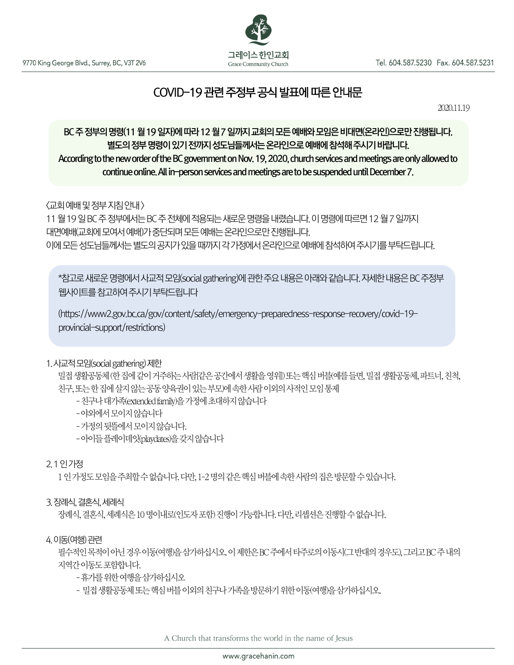

# COVID-19 관련 주정부 공식 발표에 따른 안내문

2020.11.19

# j BC 주 정부의 명령(11 월 19 일자)에 따라 12 월 7 일까지 교회의 모든 예배와 모임은 비대면(온라인)으로만 진행됩니다. 별도의 정부 명령이 있기 전까지 성도님들께서는 온라인으로 예배에 참석해 주시기 바랍니다. According to the new order of the BC government on Nov. 19, 2020, church services and meetings are only allowed to continue online. All in-person services and meetings are to be suspended until December 7.

<교회예배및정부지침안내>

11월19일BC주정부에서는BC주전체에적용되는새로운명령을내렸습니다. 이명령에따르면12월7일까지 대면예배(교회에 모여서 예배)가 중단되며 모든 예배는 온라인으로만 진행됩니다. 이에모든성도님들께서는별도의공지가있을때까지각가정에서온라인으로예배에참석하여주시기를부탁드립니다.

\*참고로 새로운 명령에서 사교적 모임(social gathering)에 관한 주요 내용은 아래와 같습니다. 자세한 내용은 BC 주정부 웹사이트를참고하여주시기부탁드립니다

(https://www2.gov.bc.ca/gov/content/safety/emergency-preparedness-response-recovery/covid-19 provincial-support/restrictions)

# 1. 사교적모임(social gathering) 제한

밀접생활공동체(한 집에 같이 거주하는 사람[같은 공간에서 생활을 영위]) 또는 핵심 버블(예를 들면, 밀접 생활공동체, 파트너, 친척, 친구, 또는한집에살지않는공동양육권이있는부모)에속한사람이외의사적인모임통제

- -친구나대가족(extended family)을가정에초대하지않습니다
- -야외에서모이지않습니다
- -가정의뒷뜰에서모이지않습니다.

-아이들플레이데잇(playdates)을갖지않습니다

# 2. 1인가정

1 이 가정도 모임을 주최할 수 없습니다. 다만, 1-2 명의 같은 핵심 버블에 속한 사람의 집은 방문할 수 있습니다.

# 3. 장례식, 결혼식, 세례식

장례식, 결혼식, 세례식은 10 명이내로(인도자 포함) 진행이 가능합니다. 다만, 리셉션은 진행할 수 없습니다.

#### 4. 이동(여행) 관련

필수적인 목적이 아닌 경우 이동(여행)을 삼가하십시오. 이 제한은 BC 주에서 타주로의 이동시(그 반대의 경우도), 그리고 BC 주 내의 지역간이동도포함합니다.

-휴가를위한여행을삼가하십시오

- 밀접 생활공동체 또는 핵심 버블 이외의 친구나 가족을 방문하기 위한 이동(여행)을 삼가하십시오.

A Church that transforms the world in the name of Jesus